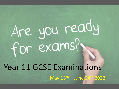# Are you ready for exams?

### Year 11 GCSE Examinations

May 13th – June 24th 2022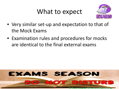#### What to expect



- Very similar set-up and expectation to that of the Mock Exams
- Examination rules and procedures for mocks are identical to the final external exams

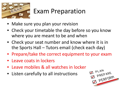

#### Exam Preparation

- Make sure you plan your revision
- Check your timetable the day before so you know where you are meant to be and when
- Check your seat number and know where it is in the Sports Hall – Tutors email (check each day)
- Prepare/take the correct equipment to your exam
- Leave coats in lockers
- Leave mobiles & all watches in locker
- Listen carefully to all instructions

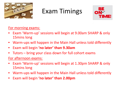

#### Exam Timings



For morning exams:

- Exam 'Warm-up' sessions will begin at 9.00am SHARP & only 15mins long
- Warm-ups will happen in the Main Hall unless told differently
- Exam will begin **'no later' than 9.30am**
- Tutors bring your class down for full cohort exams

For afternoon exams:

- Exam 'Warm-up' sessions will begin at 1.30pm SHARP & only 15mins long
- Warm-ups will happen in the Main Hall unless told differently
- Exam will begin **'no later' than 2.00pm**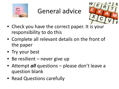

#### General advice



- Check you have the correct paper. It is your responsibility to do this
- Complete all relevant details on the front of the paper
- Try your best
- Be resilient never give up
- Attempt *all* questions please don't leave a question blank
- Read Questions carefully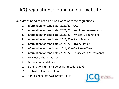#### JCQ regulations: found on our website

Candidates need to read and be aware of these regulations:

- 1. Information for candidates 2021/22 CAU
- 2. Information for candidates 2021/22 Non Exam Assessments
- 3. Information for candidates 2021/22 Written Examinations
- 4. Information for candidates 2021/22 Social Media
- 5. Information for candidates 2021/22– Privacy Notice
- 6. Information for candidates 2021/22 On Screen Tests
- 7. Information for candidates 2021/22 Coursework Assessments
- 8. No Mobile Phones Poster
- 9. Warning to Candidates
- 10. Examinations (Internal Appeals Procedure EaR)
- 11. Controlled Assessment Policy
- 12. Non-examination Assessment Policy

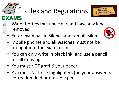## Rules and Regulations



- Water bottles must be clear and have any labels removed
- Enter exam hall in Silence and remain silent
- Mobile phones and **all watches** must not be brought into the exam room
- You can only write in **black ink** ,and use a pencil for all drawings
- You must NOT graffiti your paper

**EXAMS** 

• You must NOT use highlighters (on your answers), correction fluid or erasable pens

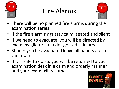

#### Fire Alarms



- There will be no planned fire alarms during the examination series
- If the fire alarm rings stay calm, seated and silent
- If we need to evacuate, you will be directed by exam invigilators to a designated safe area
- Should you be evacuated leave all papers etc. in the room.
- If it is safe to do so, you will be returned to your examination desk in a calm and orderly manner and your exam will resume.